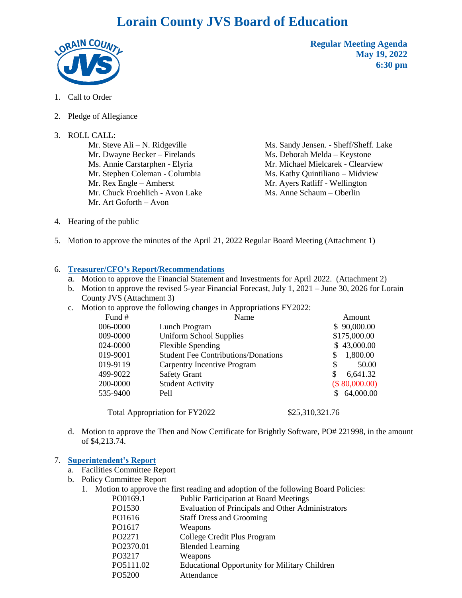# **Lorain County JVS Board of Education**



**Regular Meeting Agenda May 19, 2022 6:30 pm**

- 1. Call to Order
- 2. Pledge of Allegiance
- 3. ROLL CALL:

Mr. Steve Ali – N. Ridgeville Mr. Dwayne Becker – Firelands Ms. Annie Carstarphen - Elyria Mr. Stephen Coleman - Columbia Mr. Rex Engle – Amherst Mr. Chuck Froehlich - Avon Lake Mr. Art Goforth – Avon

Ms. Sandy Jensen. - Sheff/Sheff. Lake Ms. Deborah Melda – Keystone Mr. Michael Mielcarek - Clearview Ms. Kathy Quintiliano – Midview Mr. Ayers Ratliff - Wellington Ms. Anne Schaum – Oberlin

- 4. Hearing of the public
- 5. Motion to approve the minutes of the April 21, 2022 Regular Board Meeting (Attachment 1)

#### 6. **Treasurer/CFO's Report/Recommendations**

- a. Motion to approve the Financial Statement and Investments for April 2022. (Attachment 2)
- b. Motion to approve the revised 5-year Financial Forecast, July 1, 2021 June 30, 2026 for Lorain County JVS (Attachment 3)
- c. Motion to approve the following changes in Appropriations FY2022:

| Fund #   | Name                                       | Amount          |
|----------|--------------------------------------------|-----------------|
| 006-0000 | Lunch Program                              | \$90,000.00     |
| 009-0000 | Uniform School Supplies                    | \$175,000.00    |
| 024-0000 | Flexible Spending                          | \$43,000.00     |
| 019-9001 | <b>Student Fee Contributions/Donations</b> | 1,800.00<br>S   |
| 019-9119 | Carpentry Incentive Program                | 50.00<br>S      |
| 499-9022 | <b>Safety Grant</b>                        | 6,641.32<br>S   |
| 200-0000 | <b>Student Activity</b>                    | (\$80,000.00)   |
| 535-9400 | Pell                                       | 64,000.00       |
|          | <b>Total Appropriation for FY2022</b>      | \$25,310,321.76 |

d. Motion to approve the Then and Now Certificate for Brightly Software, PO# 221998, in the amount of \$4,213.74.

#### 7. **Superintendent's Report**

- a. Facilities Committee Report
- b. Policy Committee Report
	- 1. Motion to approve the first reading and adoption of the following Board Policies:

| PO0169.1 | <b>Public Participation at Board Meetings</b> |
|----------|-----------------------------------------------|
| DQ1520   | Evaluation of Deinsinals and Other Admir      |

| Evaluation of Principals and Other Administrators |
|---------------------------------------------------|
|                                                   |

- PO1616 Staff Dress and Grooming PO1617 Weapons
	-
- PO2271 College Credit Plus Program
- PO2370.01 Blended Learning
- PO3217 Weapons
- PO5111.02 Educational Opportunity for Military Children
- PO5200 Attendance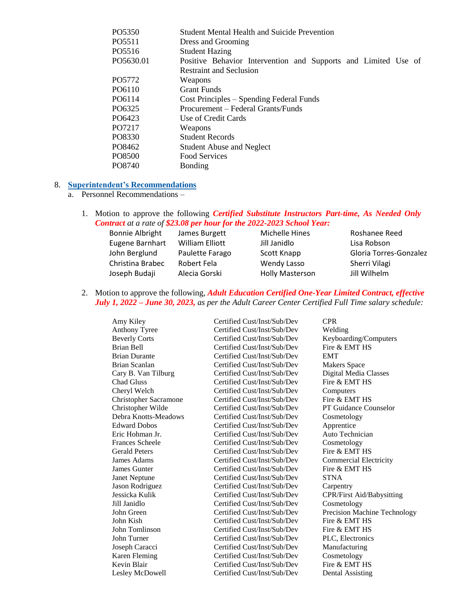| PO5350    | <b>Student Mental Health and Suicide Prevention</b>            |
|-----------|----------------------------------------------------------------|
| PO5511    | Dress and Grooming                                             |
| PO5516    | <b>Student Hazing</b>                                          |
| PO5630.01 | Positive Behavior Intervention and Supports and Limited Use of |
|           | <b>Restraint and Seclusion</b>                                 |
| PO5772    | Weapons                                                        |
| PO6110    | <b>Grant Funds</b>                                             |
| PO6114    | Cost Principles – Spending Federal Funds                       |
| PO6325    | Procurement - Federal Grants/Funds                             |
| PO6423    | Use of Credit Cards                                            |
| PO7217    | Weapons                                                        |
| PO8330    | <b>Student Records</b>                                         |
| PO8462    | <b>Student Abuse and Neglect</b>                               |
| PO8500    | Food Services                                                  |
| PO8740    | Bonding                                                        |

## 8. **Superintendent's Recommendations**

- a. Personnel Recommendations
	- 1. Motion to approve the following *Certified Substitute Instructors Part-time, As Needed Only Contract at a rate of \$23.08 per hour for the 2022-2023 School Year:*

| <b>Bonnie Albright</b> | James Burgett   | Michelle Hines         | Roshanee Reed          |
|------------------------|-----------------|------------------------|------------------------|
| Eugene Barnhart        | William Elliott | Jill Janidlo           | Lisa Robson            |
| John Berglund          | Paulette Farago | Scott Knapp            | Gloria Torres-Gonzalez |
| Christina Brabec       | Robert Fela     | Wendy Lasso            | Sherri Vilagi          |
| Joseph Budaji          | Alecia Gorski   | <b>Holly Masterson</b> | Jill Wilhelm           |

2. Motion to approve the following*, Adult Education Certified One-Year Limited Contract, effective July 1, 2022 – June 30, 2023, as per the Adult Career Center Certified Full Time salary schedule:*

| Amy Kiley                    | Certified Cust/Inst/Sub/Dev | <b>CPR</b>                       |
|------------------------------|-----------------------------|----------------------------------|
| Anthony Tyree                | Certified Cust/Inst/Sub/Dev | Welding                          |
| <b>Beverly Corts</b>         | Certified Cust/Inst/Sub/Dev | Keyboarding/Computers            |
| <b>Brian Bell</b>            | Certified Cust/Inst/Sub/Dev | Fire & EMT HS                    |
| <b>Brian Durante</b>         | Certified Cust/Inst/Sub/Dev | <b>EMT</b>                       |
| <b>Brian Scanlan</b>         | Certified Cust/Inst/Sub/Dev | <b>Makers Space</b>              |
| Cary B. Van Tilburg          | Certified Cust/Inst/Sub/Dev | Digital Media Classes            |
| <b>Chad Gluss</b>            | Certified Cust/Inst/Sub/Dev | Fire & EMT HS                    |
| Cheryl Welch                 | Certified Cust/Inst/Sub/Dev | Computers                        |
| <b>Christopher Sacramone</b> | Certified Cust/Inst/Sub/Dev | Fire & EMT HS                    |
| Christopher Wilde            | Certified Cust/Inst/Sub/Dev | PT Guidance Counselor            |
| Debra Knotts-Meadows         | Certified Cust/Inst/Sub/Dev | Cosmetology                      |
| <b>Edward Dobos</b>          | Certified Cust/Inst/Sub/Dev | Apprentice                       |
| Eric Hohman Jr.              | Certified Cust/Inst/Sub/Dev | Auto Technician                  |
| <b>Frances Scheele</b>       | Certified Cust/Inst/Sub/Dev | Cosmetology                      |
| <b>Gerald Peters</b>         | Certified Cust/Inst/Sub/Dev | Fire & EMT HS                    |
| James Adams                  | Certified Cust/Inst/Sub/Dev | <b>Commercial Electricity</b>    |
| James Gunter                 | Certified Cust/Inst/Sub/Dev | Fire & EMT HS                    |
| <b>Janet Neptune</b>         | Certified Cust/Inst/Sub/Dev | <b>STNA</b>                      |
| Jason Rodriguez              | Certified Cust/Inst/Sub/Dev | Carpentry                        |
| Jessicka Kulik               | Certified Cust/Inst/Sub/Dev | <b>CPR/First Aid/Babysitting</b> |
| Jill Janidlo                 | Certified Cust/Inst/Sub/Dev | Cosmetology                      |
| John Green                   | Certified Cust/Inst/Sub/Dev | Precision Machine Technology     |
| John Kish                    | Certified Cust/Inst/Sub/Dev | Fire & EMT HS                    |
| John Tomlinson               | Certified Cust/Inst/Sub/Dev | Fire & EMT HS                    |
| John Turner                  | Certified Cust/Inst/Sub/Dev | PLC, Electronics                 |
| Joseph Caracci               | Certified Cust/Inst/Sub/Dev | Manufacturing                    |
| Karen Fleming                | Certified Cust/Inst/Sub/Dev | Cosmetology                      |
| Kevin Blair                  | Certified Cust/Inst/Sub/Dev | Fire & EMT HS                    |
| Lesley McDowell              | Certified Cust/Inst/Sub/Dev | Dental Assisting                 |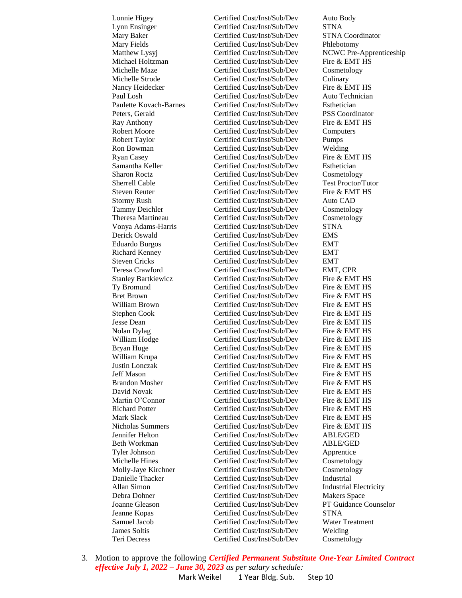Teri Decress Certified Cust/Inst/Sub/Dev Cosmetology

Lonnie Higey Certified Cust/Inst/Sub/Dev Auto Body Lynn Ensinger Certified Cust/Inst/Sub/Dev STNA Mary Baker **Certified Cust/Inst/Sub/Dev** STNA Coordinator Mary Fields Certified Cust/Inst/Sub/Dev Phlebotomy Matthew Lysyj Certified Cust/Inst/Sub/Dev NCWC Pre-Apprenticeship Michael Holtzman Certified Cust/Inst/Sub/Dev Fire & EMT HS Michelle Maze Certified Cust/Inst/Sub/Dev Cosmetology Michelle Strode Certified Cust/Inst/Sub/Dev Culinary Nancy Heidecker **Certified Cust/Inst/Sub/Dev** Fire & EMT HS Paul Losh Certified Cust/Inst/Sub/Dev Auto Technician Paulette Kovach-Barnes Certified Cust/Inst/Sub/Dev Esthetician Peters, Gerald Certified Cust/Inst/Sub/Dev PSS Coordinator Ray Anthony **Certified Cust/Inst/Sub/Dev** Fire & EMT HS Robert Moore Certified Cust/Inst/Sub/Dev Computers Robert Taylor Certified Cust/Inst/Sub/Dev Pumps Ron Bowman Certified Cust/Inst/Sub/Dev Welding Ryan Casey **Certified Cust/Inst/Sub/Dev** Fire & EMT HS Samantha Keller Certified Cust/Inst/Sub/Dev Esthetician Sharon Roctz **Certified Cust/Inst/Sub/Dev** Cosmetology Sherrell Cable Certified Cust/Inst/Sub/Dev Test Proctor/Tutor Steven Reuter **Certified Cust/Inst/Sub/Dev** Fire & EMT HS Stormy Rush Certified Cust/Inst/Sub/Dev Auto CAD Tammy Deichler Certified Cust/Inst/Sub/Dev Cosmetology Theresa Martineau Certified Cust/Inst/Sub/Dev Cosmetology Vonya Adams-Harris Certified Cust/Inst/Sub/Dev STNA Derick Oswald Certified Cust/Inst/Sub/Dev EMS Eduardo Burgos Certified Cust/Inst/Sub/Dev EMT Richard Kenney Certified Cust/Inst/Sub/Dev EMT Steven Cricks Certified Cust/Inst/Sub/Dev EMT Teresa Crawford Certified Cust/Inst/Sub/Dev EMT, CPR Stanley Bartkiewicz **Certified Cust/Inst/Sub/Dev** Fire & EMT HS Ty Bromund Certified Cust/Inst/Sub/Dev Fire & EMT HS Bret Brown Certified Cust/Inst/Sub/Dev Fire & EMT HS William Brown **Certified Cust/Inst/Sub/Dev** Fire & EMT HS Stephen Cook Certified Cust/Inst/Sub/Dev Fire & EMT HS Jesse Dean Certified Cust/Inst/Sub/Dev Fire & EMT HS Nolan Dylag Certified Cust/Inst/Sub/Dev Fire & EMT HS William Hodge **Certified Cust/Inst/Sub/Dev** Fire & EMT HS Bryan Huge Certified Cust/Inst/Sub/Dev Fire & EMT HS William Krupa **Certified Cust/Inst/Sub/Dev** Fire & EMT HS Justin Lonczak Certified Cust/Inst/Sub/Dev Fire & EMT HS Jeff Mason Certified Cust/Inst/Sub/Dev Fire & EMT HS Brandon Mosher Certified Cust/Inst/Sub/Dev Fire & EMT HS David Novak Certified Cust/Inst/Sub/Dev Fire & EMT HS Martin O'Connor **Certified Cust/Inst/Sub/Dev** Fire & EMT HS Richard Potter Certified Cust/Inst/Sub/Dev Fire & EMT HS Mark Slack Certified Cust/Inst/Sub/Dev Fire & EMT HS Nicholas Summers Certified Cust/Inst/Sub/Dev Fire & EMT HS Jennifer Helton Certified Cust/Inst/Sub/Dev ABLE/GED Beth Workman Certified Cust/Inst/Sub/Dev ABLE/GED Tyler Johnson Certified Cust/Inst/Sub/Dev Apprentice Michelle Hines Certified Cust/Inst/Sub/Dev Cosmetology Molly-Jaye Kirchner Certified Cust/Inst/Sub/Dev Cosmetology Danielle Thacker Certified Cust/Inst/Sub/Dev Industrial Allan Simon Certified Cust/Inst/Sub/Dev Industrial Electricity Debra Dohner Certified Cust/Inst/Sub/Dev Makers Space Joanne Gleason Certified Cust/Inst/Sub/Dev PT Guidance Counselor Jeanne Kopas Certified Cust/Inst/Sub/Dev STNA Samuel Jacob Certified Cust/Inst/Sub/Dev Water Treatment James Soltis Certified Cust/Inst/Sub/Dev Welding

3. Motion to approve the following *Certified Permanent Substitute One-Year Limited Contract effective July 1, 2022 – June 30, 2023 as per salary schedule:* Mark Weikel 1 Year Bldg. Sub. Step 10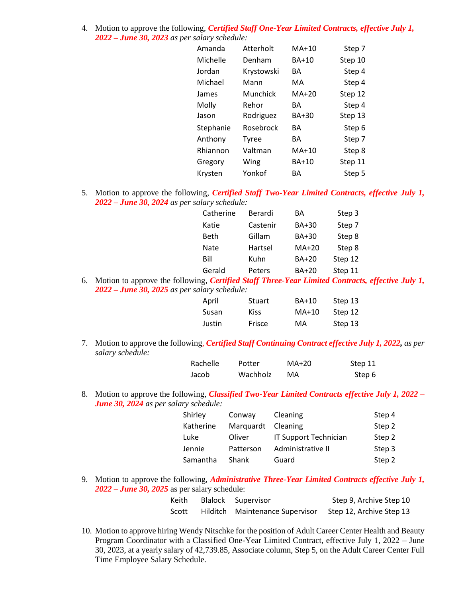4. Motion to approve the following*, Certified Staff One-Year Limited Contracts, effective July 1, 2022 – June 30, 2023 as per salary schedule:*

| Amanda    | Atterholt    | $MA+10$      | Step 7  |
|-----------|--------------|--------------|---------|
| Michelle  | Denham       | BA+10        | Step 10 |
| Jordan    | Krystowski   | BА           | Step 4  |
| Michael   | Mann         | МA           | Step 4  |
| James     | Munchick     | $MA+20$      | Step 12 |
| Molly     | Rehor        | BА           | Step 4  |
| Jason     | Rodriguez    | <b>BA+30</b> | Step 13 |
| Stephanie | Rosebrock    | ΒA           | Step 6  |
| Anthony   | <b>Tyree</b> | BА           | Step 7  |
| Rhiannon  | Valtman      | MA+10        | Step 8  |
| Gregory   | Wing         | BA+10        | Step 11 |
| Krysten   | Yonkof       | BА           | Step 5  |
|           |              |              |         |

5. Motion to approve the following*, Certified Staff Two-Year Limited Contracts, effective July 1, 2022 – June 30, 2024 as per salary schedule:*

| Catherine   | Berardi  | BА           | Step 3  |
|-------------|----------|--------------|---------|
| Katie       | Castenir | <b>BA+30</b> | Step 7  |
| <b>Beth</b> | Gillam   | <b>BA+30</b> | Step 8  |
| <b>Nate</b> | Hartsel  | $MA+20$      | Step 8  |
| Bill        | Kuhn     | <b>BA+20</b> | Step 12 |
| Gerald      | Peters   | <b>BA+20</b> | Step 11 |

6. Motion to approve the following*, Certified Staff Three-Year Limited Contracts, effective July 1, 2022 – June 30, 2025 as per salary schedule:*

| April  | Stuart | BA+10   | Step 13 |
|--------|--------|---------|---------|
| Susan  | Kiss.  | $MA+10$ | Step 12 |
| Justin | Frisce | MA      | Step 13 |

7. Motion to approve the following*, Certified Staff Continuing Contract effective July 1, 2022, as per salary schedule:*

| Rachelle | Potter   | MA+20 | Step 11 |
|----------|----------|-------|---------|
| Jacob    | Wachholz | МA    | Step 6  |

8. Motion to approve the following*, Classified Two-Year Limited Contracts effective July 1, 2022 – June 30, 2024 as per salary schedule:*

| Shirley   | Conway    | Cleaning              | Step 4 |
|-----------|-----------|-----------------------|--------|
| Katherine | Marquardt | Cleaning              | Step 2 |
| Luke      | Oliver    | IT Support Technician | Step 2 |
| Jennie    | Patterson | Administrative II     | Step 3 |
| Samantha  | Shank     | Guard                 | Step 2 |

9. Motion to approve the following, *Administrative Three-Year Limited Contracts effective July 1, 2022 – June 30, 2025* as per salary schedule:

| Keith | Blalock Supervisor              | Step 9, Archive Step 10  |
|-------|---------------------------------|--------------------------|
| Scott | Hilditch Maintenance Supervisor | Step 12, Archive Step 13 |

10. Motion to approve hiring Wendy Nitschke for the position of Adult Career Center Health and Beauty Program Coordinator with a Classified One-Year Limited Contract, effective July 1, 2022 – June 30, 2023, at a yearly salary of 42,739.85, Associate column, Step 5, on the Adult Career Center Full Time Employee Salary Schedule.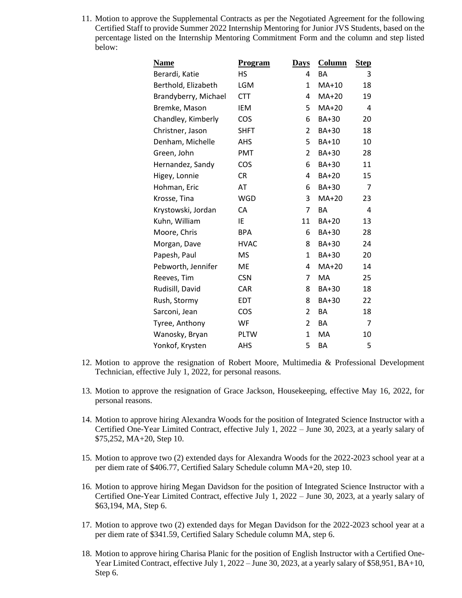11. Motion to approve the Supplemental Contracts as per the Negotiated Agreement for the following Certified Staff to provide Summer 2022 Internship Mentoring for Junior JVS Students, based on the percentage listed on the Internship Mentoring Commitment Form and the column and step listed below:

| <u>Name</u>          | <b>Program</b> | <b>Days</b> | Column       | <b>Step</b> |
|----------------------|----------------|-------------|--------------|-------------|
| Berardi, Katie       | <b>HS</b>      | 4           | <b>BA</b>    | 3           |
| Berthold, Elizabeth  | LGM            | 1           | $MA+10$      | 18          |
| Brandyberry, Michael | <b>CTT</b>     | 4           | MA+20        | 19          |
| Bremke, Mason        | <b>IEM</b>     | 5           | MA+20        | 4           |
| Chandley, Kimberly   | COS            | 6           | <b>BA+30</b> | 20          |
| Christner, Jason     | <b>SHFT</b>    | 2           | BA+30        | 18          |
| Denham, Michelle     | <b>AHS</b>     | 5           | <b>BA+10</b> | 10          |
| Green, John          | <b>PMT</b>     | 2           | BA+30        | 28          |
| Hernandez, Sandy     | COS            | 6           | BA+30        | 11          |
| Higey, Lonnie        | <b>CR</b>      | 4           | <b>BA+20</b> | 15          |
| Hohman, Eric         | AT             | 6           | BA+30        | 7           |
| Krosse, Tina         | WGD            | 3           | $MA+20$      | 23          |
| Krystowski, Jordan   | CA             | 7           | BA           | 4           |
| Kuhn, William        | IE.            | 11          | <b>BA+20</b> | 13          |
| Moore, Chris         | <b>BPA</b>     | 6           | BA+30        | 28          |
| Morgan, Dave         | <b>HVAC</b>    | 8           | <b>BA+30</b> | 24          |
| Papesh, Paul         | <b>MS</b>      | 1           | <b>BA+30</b> | 20          |
| Pebworth, Jennifer   | <b>ME</b>      | 4           | $MA+20$      | 14          |
| Reeves, Tim          | <b>CSN</b>     | 7           | MA           | 25          |
| Rudisill, David      | CAR            | 8           | <b>BA+30</b> | 18          |
| Rush, Stormy         | <b>EDT</b>     | 8           | <b>BA+30</b> | 22          |
| Sarconi, Jean        | COS            | 2           | BA           | 18          |
| Tyree, Anthony       | WF             | 2           | BA           | 7           |
| Wanosky, Bryan       | <b>PLTW</b>    | 1           | МA           | 10          |
| Yonkof, Krysten      | AHS            | 5           | BA           | 5           |

- 12. Motion to approve the resignation of Robert Moore, Multimedia & Professional Development Technician, effective July 1, 2022, for personal reasons.
- 13. Motion to approve the resignation of Grace Jackson, Housekeeping, effective May 16, 2022, for personal reasons.
- 14. Motion to approve hiring Alexandra Woods for the position of Integrated Science Instructor with a Certified One-Year Limited Contract, effective July 1, 2022 – June 30, 2023, at a yearly salary of \$75,252, MA+20, Step 10.
- 15. Motion to approve two (2) extended days for Alexandra Woods for the 2022-2023 school year at a per diem rate of \$406.77, Certified Salary Schedule column MA+20, step 10.
- 16. Motion to approve hiring Megan Davidson for the position of Integrated Science Instructor with a Certified One-Year Limited Contract, effective July 1, 2022 – June 30, 2023, at a yearly salary of \$63,194, MA, Step 6.
- 17. Motion to approve two (2) extended days for Megan Davidson for the 2022-2023 school year at a per diem rate of \$341.59, Certified Salary Schedule column MA, step 6.
- 18. Motion to approve hiring Charisa Planic for the position of English Instructor with a Certified One-Year Limited Contract, effective July 1, 2022 – June 30, 2023, at a yearly salary of \$58,951, BA+10, Step 6.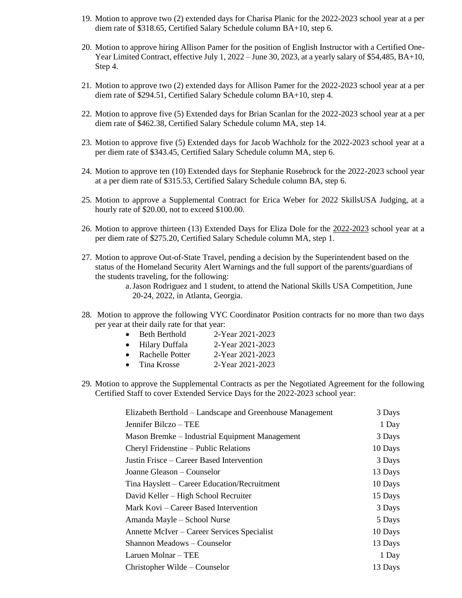- 19. Motion to approve two (2) extended days for Charisa Planic for the 2022-2023 school year at a per diem rate of \$318.65, Certified Salary Schedule column BA+10, step 6.
- 20. Motion to approve hiring Allison Pamer for the position of English Instructor with a Certified One-Year Limited Contract, effective July 1, 2022 – June 30, 2023, at a yearly salary of \$54,485, BA+10, Step 4.
- 21. Motion to approve two (2) extended days for Allison Pamer for the 2022-2023 school year at a per diem rate of \$294.51, Certified Salary Schedule column BA+10, step 4.
- 22. Motion to approve five (5) Extended days for Brian Scanlan for the 2022-2023 school year at a per diem rate of \$462.38, Certified Salary Schedule column MA, step 14.
- 23. Motion to approve five (5) Extended days for Jacob Wachholz for the 2022-2023 school year at a per diem rate of \$343.45, Certified Salary Schedule column MA, step 6.
- 24. Motion to approve ten (10) Extended days for Stephanie Rosebrock for the 2022-2023 school year at a per diem rate of \$315.53, Certified Salary Schedule column BA, step 6.
- 25. Motion to approve a Supplemental Contract for Erica Weber for 2022 SkillsUSA Judging, at a hourly rate of \$20.00, not to exceed \$100.00.
- 26. Motion to approve thirteen (13) Extended Days for Eliza Dole for the 2022-2023 school year at a per diem rate of \$275.20, Certified Salary Schedule column MA, step 1.
- 27. Motion to approve Out-of-State Travel, pending a decision by the Superintendent based on the status of the Homeland Security Alert Warnings and the full support of the parents/guardians of the students traveling, for the following:

a.Jason Rodriguez and 1 student, to attend the National Skills USA Competition, June 20-24, 2022, in Atlanta, Georgia.

- 28. Motion to approve the following VYC Coordinator Position contracts for no more than two days per year at their daily rate for that year:
	- Beth Berthold 2-Year 2021-2023 • Hilary Duffala 2-Year 2021-2023
	- Rachelle Potter 2-Year 2021-2023
	- Tina Krosse 2-Year 2021-2023
	-
- 29. Motion to approve the Supplemental Contracts as per the Negotiated Agreement for the following Certified Staff to cover Extended Service Days for the 2022-2023 school year:

| Elizabeth Berthold - Landscape and Greenhouse Management | 3 Days  |
|----------------------------------------------------------|---------|
| Jennifer Bilczo – TEE                                    | 1 Day   |
| Mason Bremke – Industrial Equipment Management           | 3 Days  |
| Cheryl Fridenstine – Public Relations                    | 10 Days |
| Justin Frisce – Career Based Intervention                | 3 Days  |
| Joanne Gleason – Counselor                               | 13 Days |
| Tina Hayslett – Career Education/Recruitment             | 10 Days |
| David Keller – High School Recruiter                     | 15 Days |
| Mark Kovi – Career Based Intervention                    | 3 Days  |
| Amanda Mayle – School Nurse                              | 5 Days  |
| Annette McIver – Career Services Specialist              | 10 Days |
| Shannon Meadows - Counselor                              | 13 Days |
| Laruen Molnar - TEE                                      | 1 Day   |
| Christopher Wilde – Counselor                            | 13 Days |